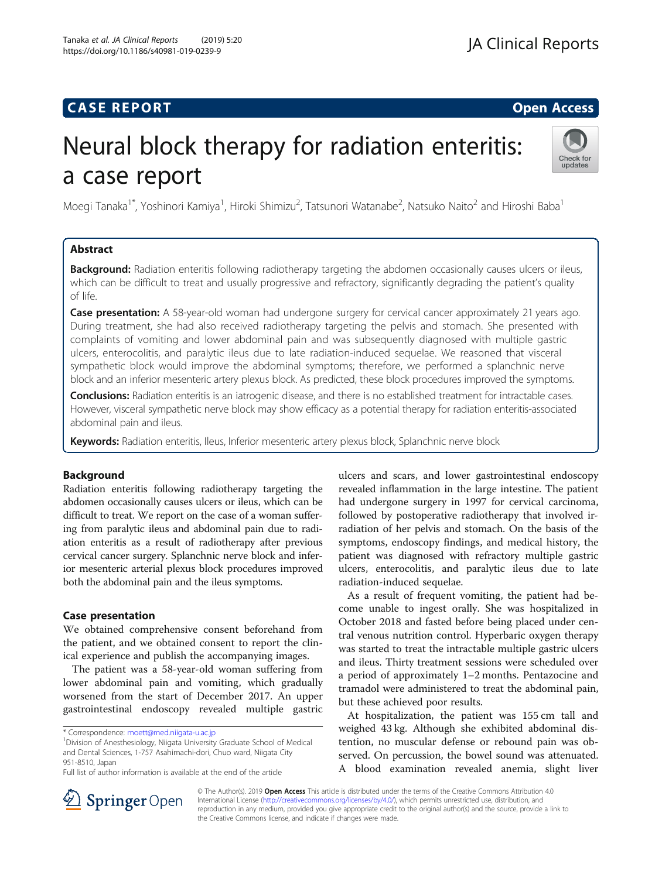## **CASE REPORT And SERVICE SERVICE SERVICE SERVICE SERVICE SERVICE SERVICE SERVICE SERVICE SERVICE SERVICE SERVICE**

# Neural block therapy for radiation enteritis: a case report



Moegi Tanaka<sup>1\*</sup>, Yoshinori Kamiya<sup>1</sup>, Hiroki Shimizu<sup>2</sup>, Tatsunori Watanabe<sup>2</sup>, Natsuko Naito<sup>2</sup> and Hiroshi Baba<sup>1</sup>

### Abstract

Background: Radiation enteritis following radiotherapy targeting the abdomen occasionally causes ulcers or ileus, which can be difficult to treat and usually progressive and refractory, significantly degrading the patient's quality of life.

**Case presentation:** A 58-year-old woman had undergone surgery for cervical cancer approximately 21 years ago. During treatment, she had also received radiotherapy targeting the pelvis and stomach. She presented with complaints of vomiting and lower abdominal pain and was subsequently diagnosed with multiple gastric ulcers, enterocolitis, and paralytic ileus due to late radiation-induced sequelae. We reasoned that visceral sympathetic block would improve the abdominal symptoms; therefore, we performed a splanchnic nerve block and an inferior mesenteric artery plexus block. As predicted, these block procedures improved the symptoms.

Conclusions: Radiation enteritis is an iatrogenic disease, and there is no established treatment for intractable cases. However, visceral sympathetic nerve block may show efficacy as a potential therapy for radiation enteritis-associated abdominal pain and ileus.

Keywords: Radiation enteritis, Ileus, Inferior mesenteric artery plexus block, Splanchnic nerve block

### Background

Radiation enteritis following radiotherapy targeting the abdomen occasionally causes ulcers or ileus, which can be difficult to treat. We report on the case of a woman suffering from paralytic ileus and abdominal pain due to radiation enteritis as a result of radiotherapy after previous cervical cancer surgery. Splanchnic nerve block and inferior mesenteric arterial plexus block procedures improved both the abdominal pain and the ileus symptoms.

#### Case presentation

We obtained comprehensive consent beforehand from the patient, and we obtained consent to report the clinical experience and publish the accompanying images.

The patient was a 58-year-old woman suffering from lower abdominal pain and vomiting, which gradually worsened from the start of December 2017. An upper gastrointestinal endoscopy revealed multiple gastric

<sup>1</sup> Division of Anesthesiology, Niigata University Graduate School of Medical and Dental Sciences, 1-757 Asahimachi-dori, Chuo ward, Niigata City 951-8510, Japan

ulcers and scars, and lower gastrointestinal endoscopy revealed inflammation in the large intestine. The patient had undergone surgery in 1997 for cervical carcinoma, followed by postoperative radiotherapy that involved irradiation of her pelvis and stomach. On the basis of the symptoms, endoscopy findings, and medical history, the patient was diagnosed with refractory multiple gastric ulcers, enterocolitis, and paralytic ileus due to late radiation-induced sequelae.

As a result of frequent vomiting, the patient had become unable to ingest orally. She was hospitalized in October 2018 and fasted before being placed under central venous nutrition control. Hyperbaric oxygen therapy was started to treat the intractable multiple gastric ulcers and ileus. Thirty treatment sessions were scheduled over a period of approximately 1–2 months. Pentazocine and tramadol were administered to treat the abdominal pain, but these achieved poor results.

At hospitalization, the patient was 155 cm tall and weighed 43 kg. Although she exhibited abdominal distention, no muscular defense or rebound pain was observed. On percussion, the bowel sound was attenuated. A blood examination revealed anemia, slight liver



© The Author(s). 2019 Open Access This article is distributed under the terms of the Creative Commons Attribution 4.0 International License ([http://creativecommons.org/licenses/by/4.0/\)](http://creativecommons.org/licenses/by/4.0/), which permits unrestricted use, distribution, and reproduction in any medium, provided you give appropriate credit to the original author(s) and the source, provide a link to the Creative Commons license, and indicate if changes were made.

<sup>\*</sup> Correspondence: [moett@med.niigata-u.ac.jp](mailto:moett@med.niigata-u.ac.jp) <sup>1</sup>

Full list of author information is available at the end of the article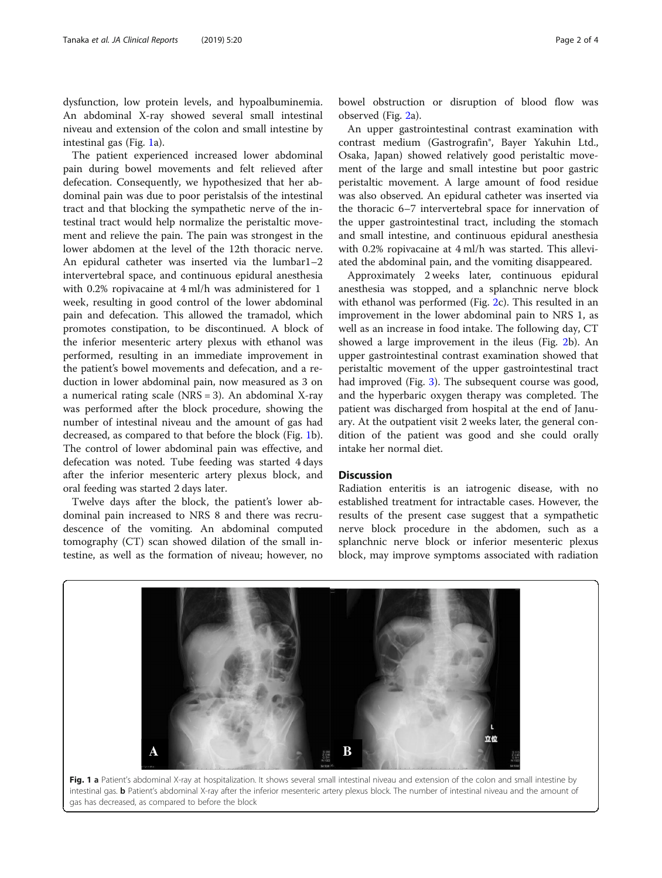dysfunction, low protein levels, and hypoalbuminemia. An abdominal X-ray showed several small intestinal niveau and extension of the colon and small intestine by intestinal gas (Fig. 1a).

The patient experienced increased lower abdominal pain during bowel movements and felt relieved after defecation. Consequently, we hypothesized that her abdominal pain was due to poor peristalsis of the intestinal tract and that blocking the sympathetic nerve of the intestinal tract would help normalize the peristaltic movement and relieve the pain. The pain was strongest in the lower abdomen at the level of the 12th thoracic nerve. An epidural catheter was inserted via the lumbar1–2 intervertebral space, and continuous epidural anesthesia with 0.2% ropivacaine at 4 ml/h was administered for 1 week, resulting in good control of the lower abdominal pain and defecation. This allowed the tramadol, which promotes constipation, to be discontinued. A block of the inferior mesenteric artery plexus with ethanol was performed, resulting in an immediate improvement in the patient's bowel movements and defecation, and a reduction in lower abdominal pain, now measured as 3 on a numerical rating scale (NRS = 3). An abdominal X-ray was performed after the block procedure, showing the number of intestinal niveau and the amount of gas had decreased, as compared to that before the block (Fig. 1b). The control of lower abdominal pain was effective, and defecation was noted. Tube feeding was started 4 days after the inferior mesenteric artery plexus block, and oral feeding was started 2 days later.

Twelve days after the block, the patient's lower abdominal pain increased to NRS 8 and there was recrudescence of the vomiting. An abdominal computed tomography (CT) scan showed dilation of the small intestine, as well as the formation of niveau; however, no

bowel obstruction or disruption of blood flow was observed (Fig. [2a](#page-2-0)).

An upper gastrointestinal contrast examination with contrast medium (Gastrografin®, Bayer Yakuhin Ltd., Osaka, Japan) showed relatively good peristaltic movement of the large and small intestine but poor gastric peristaltic movement. A large amount of food residue was also observed. An epidural catheter was inserted via the thoracic 6–7 intervertebral space for innervation of the upper gastrointestinal tract, including the stomach and small intestine, and continuous epidural anesthesia with 0.2% ropivacaine at 4 ml/h was started. This alleviated the abdominal pain, and the vomiting disappeared.

Approximately 2 weeks later, continuous epidural anesthesia was stopped, and a splanchnic nerve block with ethanol was performed (Fig. [2](#page-2-0)c). This resulted in an improvement in the lower abdominal pain to NRS 1, as well as an increase in food intake. The following day, CT showed a large improvement in the ileus (Fig. [2](#page-2-0)b). An upper gastrointestinal contrast examination showed that peristaltic movement of the upper gastrointestinal tract had improved (Fig. [3\)](#page-2-0). The subsequent course was good, and the hyperbaric oxygen therapy was completed. The patient was discharged from hospital at the end of January. At the outpatient visit 2 weeks later, the general condition of the patient was good and she could orally intake her normal diet.

#### **Discussion**

Radiation enteritis is an iatrogenic disease, with no established treatment for intractable cases. However, the results of the present case suggest that a sympathetic nerve block procedure in the abdomen, such as a splanchnic nerve block or inferior mesenteric plexus block, may improve symptoms associated with radiation



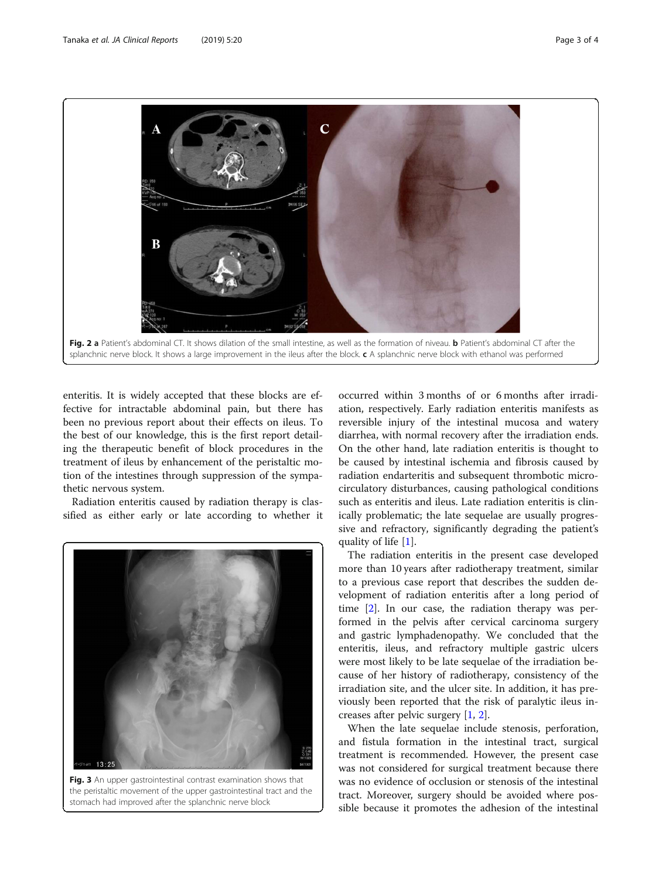<span id="page-2-0"></span>

enteritis. It is widely accepted that these blocks are effective for intractable abdominal pain, but there has been no previous report about their effects on ileus. To the best of our knowledge, this is the first report detailing the therapeutic benefit of block procedures in the treatment of ileus by enhancement of the peristaltic motion of the intestines through suppression of the sympathetic nervous system.

Radiation enteritis caused by radiation therapy is classified as either early or late according to whether it



Fig. 3 An upper gastrointestinal contrast examination shows that the peristaltic movement of the upper gastrointestinal tract and the stomach had improved after the splanchnic nerve block

occurred within 3 months of or 6 months after irradiation, respectively. Early radiation enteritis manifests as reversible injury of the intestinal mucosa and watery diarrhea, with normal recovery after the irradiation ends. On the other hand, late radiation enteritis is thought to be caused by intestinal ischemia and fibrosis caused by radiation endarteritis and subsequent thrombotic microcirculatory disturbances, causing pathological conditions such as enteritis and ileus. Late radiation enteritis is clinically problematic; the late sequelae are usually progressive and refractory, significantly degrading the patient's quality of life [[1\]](#page-3-0).

The radiation enteritis in the present case developed more than 10 years after radiotherapy treatment, similar to a previous case report that describes the sudden development of radiation enteritis after a long period of time [[2](#page-3-0)]. In our case, the radiation therapy was performed in the pelvis after cervical carcinoma surgery and gastric lymphadenopathy. We concluded that the enteritis, ileus, and refractory multiple gastric ulcers were most likely to be late sequelae of the irradiation because of her history of radiotherapy, consistency of the irradiation site, and the ulcer site. In addition, it has previously been reported that the risk of paralytic ileus increases after pelvic surgery [[1,](#page-3-0) [2\]](#page-3-0).

When the late sequelae include stenosis, perforation, and fistula formation in the intestinal tract, surgical treatment is recommended. However, the present case was not considered for surgical treatment because there was no evidence of occlusion or stenosis of the intestinal tract. Moreover, surgery should be avoided where possible because it promotes the adhesion of the intestinal